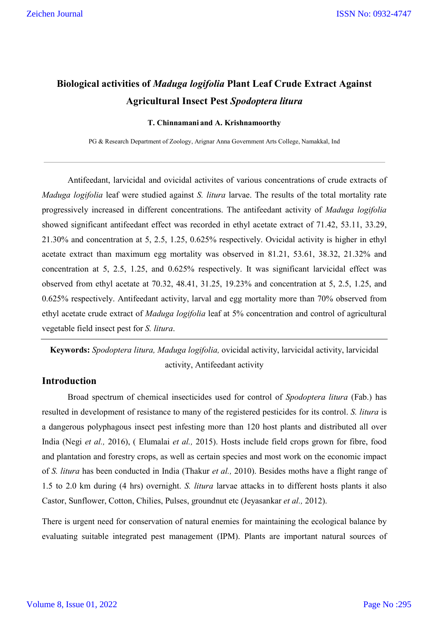# **Biological activities of** *Maduga logifolia* **Plant Leaf Crude Extract Against Agricultural Insect Pest** *Spodoptera litura*

#### **T. Chinnamani and A. Krishnamoorthy**

PG & Research Department of Zoology, Arignar Anna Government Arts College, Namakkal, Ind

Antifeedant, larvicidal and ovicidal activites of various concentrations of crude extracts of *Maduga logifolia* leaf were studied against *S. litura* larvae. The results of the total mortality rate progressively increased in different concentrations. The antifeedant activity of *Maduga logifolia* showed significant antifeedant effect was recorded in ethyl acetate extract of 71.42, 53.11, 33.29, 21.30% and concentration at 5, 2.5, 1.25, 0.625% respectively. Ovicidal activity is higher in ethyl acetate extract than maximum egg mortality was observed in 81.21, 53.61, 38.32, 21.32% and concentration at 5, 2.5, 1.25, and 0.625% respectively. It was significant larvicidal effect was observed from ethyl acetate at 70.32, 48.41, 31.25, 19.23% and concentration at 5, 2.5, 1.25, and 0.625% respectively. Antifeedant activity, larval and egg mortality more than 70% observed from ethyl acetate crude extract of *Maduga logifolia* leaf at 5% concentration and control of agricultural vegetable field insect pest for *S. litura*.

**Keywords:** *Spodoptera litura, Maduga logifolia,* ovicidal activity, larvicidal activity, larvicidal activity, Antifeedant activity

## **Introduction**

Broad spectrum of chemical insecticides used for control of *Spodoptera litura* (Fab.) has resulted in development of resistance to many of the registered pesticides for its control. *S. litura* is a dangerous polyphagous insect pest infesting more than 120 host plants and distributed all over India (Negi *et al.,* 2016), ( Elumalai *et al.,* 2015). Hosts include field crops grown for fibre, food and plantation and forestry crops, as well as certain species and most work on the economic impact of *S. litura* has been conducted in India (Thakur *et al.,* 2010). Besides moths have a flight range of 1.5 to 2.0 km during (4 hrs) overnight. *S. litura* larvae attacks in to different hosts plants it also Castor, Sunflower, Cotton, Chilies, Pulses, groundnut etc (Jeyasankar *et al.,* 2012).

There is urgent need for conservation of natural enemies for maintaining the ecological balance by evaluating suitable integrated pest management (IPM). Plants are important natural sources of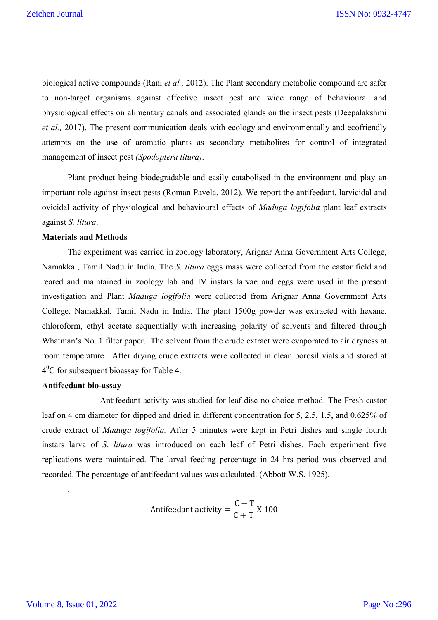biological active compounds (Rani *et al.,* 2012). The Plant secondary metabolic compound are safer to non-target organisms against effective insect pest and wide range of behavioural and physiological effects on alimentary canals and associated glands on the insect pests (Deepalakshmi *et al.,* 2017). The present communication deals with ecology and environmentally and ecofriendly attempts on the use of aromatic plants as secondary metabolites for control of integrated management of insect pest *(Spodoptera litura)*.

Plant product being biodegradable and easily catabolised in the environment and play an important role against insect pests (Roman Pavela, 2012). We report the antifeedant, larvicidal and ovicidal activity of physiological and behavioural effects of *Maduga logifolia* plant leaf extracts against *S. litura*.

## **Materials and Methods**

The experiment was carried in zoology laboratory, Arignar Anna Government Arts College, Namakkal, Tamil Nadu in India. The *S. litura* eggs mass were collected from the castor field and reared and maintained in zoology lab and IV instars larvae and eggs were used in the present investigation and Plant *Maduga logifolia* were collected from Arignar Anna Government Arts College, Namakkal, Tamil Nadu in India. The plant 1500g powder was extracted with hexane, chloroform, ethyl acetate sequentially with increasing polarity of solvents and filtered through Whatman's No. 1 filter paper. The solvent from the crude extract were evaporated to air dryness at room temperature. After drying crude extracts were collected in clean borosil vials and stored at  $4^{0}$ C for subsequent bioassay for Table 4.

#### **Antifeedant bio-assay**

 Antifeedant activity was studied for leaf disc no choice method. The Fresh castor leaf on 4 cm diameter for dipped and dried in different concentration for 5, 2.5, 1.5, and 0.625% of crude extract of *Maduga logifolia.* After 5 minutes were kept in Petri dishes and single fourth instars larva of *S*. *litura* was introduced on each leaf of Petri dishes. Each experiment five replications were maintained. The larval feeding percentage in 24 hrs period was observed and recorded. The percentage of antifeedant values was calculated. (Abbott W.S. 1925).

Antifeedant activity = 
$$
\frac{C - T}{C + T} X 100
$$

.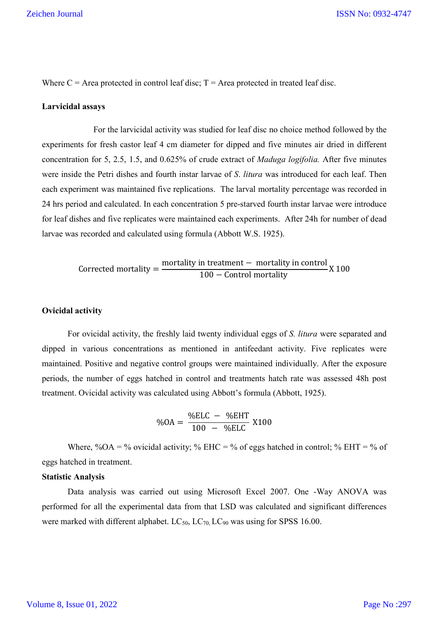Where  $C =$  Area protected in control leaf disc;  $T =$  Area protected in treated leaf disc.

#### **Larvicidal assays**

For the larvicidal activity was studied for leaf disc no choice method followed by the experiments for fresh castor leaf 4 cm diameter for dipped and five minutes air dried in different concentration for 5, 2.5, 1.5, and 0.625% of crude extract of *Maduga logifolia.* After five minutes were inside the Petri dishes and fourth instar larvae of *S*. *litura* was introduced for each leaf. Then each experiment was maintained five replications. The larval mortality percentage was recorded in 24 hrs period and calculated. In each concentration 5 pre-starved fourth instar larvae were introduce for leaf dishes and five replicates were maintained each experiments. After 24h for number of dead larvae was recorded and calculated using formula (Abbott W.S. 1925).

Corrected mortality =  $\frac{\text{mordity in treatment} - \text{mordility in control}}{100 - \text{Control mortality}}$  X 100

#### **Ovicidal activity**

For ovicidal activity, the freshly laid twenty individual eggs of *S. litura* were separated and dipped in various concentrations as mentioned in antifeedant activity. Five replicates were maintained. Positive and negative control groups were maintained individually. After the exposure periods, the number of eggs hatched in control and treatments hatch rate was assessed 48h post treatment. Ovicidal activity was calculated using Abbott's formula (Abbott, 1925).

$$
\%OA = \frac{\%ELC - \%EHT}{100 - \%ELC} X100
$$

Where, %OA = % ovicidal activity; % EHC = % of eggs hatched in control; % EHT = % of eggs hatched in treatment.

#### **Statistic Analysis**

Data analysis was carried out using Microsoft Excel 2007. One -Way ANOVA was performed for all the experimental data from that LSD was calculated and significant differences were marked with different alphabet.  $LC_{50}$ ,  $LC_{70}$ ,  $LC_{90}$  was using for SPSS 16.00.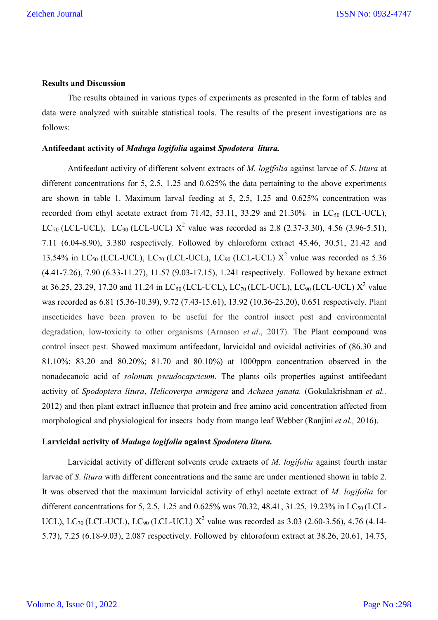#### **Results and Discussion**

The results obtained in various types of experiments as presented in the form of tables and data were analyzed with suitable statistical tools. The results of the present investigations are as follows:

#### **Antifeedant activity of** *Maduga logifolia* **against** *Spodotera litura.*

Antifeedant activity of different solvent extracts of *M. logifolia* against larvae of *S*. *litura* at different concentrations for 5, 2.5, 1.25 and 0.625% the data pertaining to the above experiments are shown in table 1. Maximum larval feeding at 5, 2.5, 1.25 and 0.625% concentration was recorded from ethyl acetate extract from 71.42, 53.11, 33.29 and 21.30% in  $LC_{50}$  (LCL-UCL), LC<sub>70</sub> (LCL-UCL), LC<sub>90</sub> (LCL-UCL)  $X^2$  value was recorded as 2.8 (2.37-3.30), 4.56 (3.96-5.51), 7.11 (6.04-8.90), 3.380 respectively. Followed by chloroform extract 45.46, 30.51, 21.42 and 13.54% in LC<sub>50</sub> (LCL-UCL), LC<sub>70</sub> (LCL-UCL), LC<sub>90</sub> (LCL-UCL)  $X^2$  value was recorded as 5.36 (4.41-7.26), 7.90 (6.33-11.27), 11.57 (9.03-17.15), 1.241 respectively. Followed by hexane extract at 36.25, 23.29, 17.20 and 11.24 in LC<sub>50</sub> (LCL-UCL), LC<sub>70</sub> (LCL-UCL), LC<sub>90</sub> (LCL-UCL)  $X^2$  value was recorded as 6.81 (5.36-10.39), 9.72 (7.43-15.61), 13.92 (10.36-23.20), 0.651 respectively. Plant insecticides have been proven to be useful for the control insect pest and environmental degradation, low-toxicity to other organisms (Arnason *et al*., 2017). The Plant compound was control insect pest. Showed maximum antifeedant, larvicidal and ovicidal activities of (86.30 and 81.10%; 83.20 and 80.20%; 81.70 and 80.10%) at 1000ppm concentration observed in the nonadecanoic acid of *solonum pseudocapcicum*. The plants oils properties against antifeedant activity of *Spodoptera litura*, *Helicoverpa armigera* and *Achaea janata.* (Gokulakrishnan *et al.,* 2012) and then plant extract influence that protein and free amino acid concentration affected from morphological and physiological for insects body from mango leaf Webber (Ranjini *et al.,* 2016).

#### **Larvicidal activity of** *Maduga logifolia* **against** *Spodotera litura.*

Larvicidal activity of different solvents crude extracts of *M. logifolia* against fourth instar larvae of *S*. *litura* with different concentrations and the same are under mentioned shown in table 2. It was observed that the maximum larvicidal activity of ethyl acetate extract of *M. logifolia* for different concentrations for 5, 2.5, 1.25 and 0.625% was 70.32, 48.41, 31.25, 19.23% in LC<sub>50</sub> (LCL-UCL), LC<sub>70</sub> (LCL-UCL), LC<sub>90</sub> (LCL-UCL)  $X^2$  value was recorded as 3.03 (2.60-3.56), 4.76 (4.14-5.73), 7.25 (6.18-9.03), 2.087 respectively. Followed by chloroform extract at 38.26, 20.61, 14.75,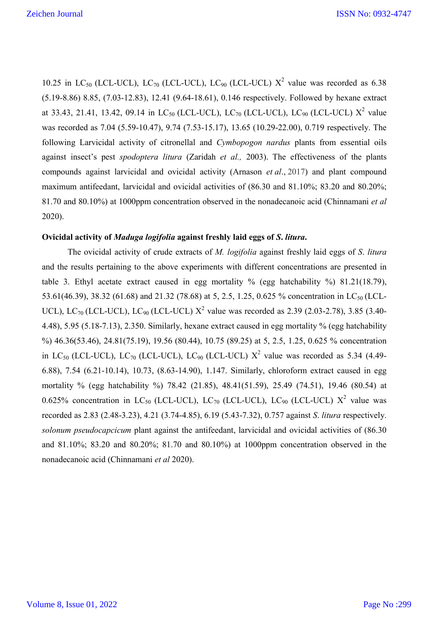10.25 in LC<sub>50</sub> (LCL-UCL), LC<sub>70</sub> (LCL-UCL), LC<sub>90</sub> (LCL-UCL)  $X^2$  value was recorded as 6.38 (5.19-8.86) 8.85, (7.03-12.83), 12.41 (9.64-18.61), 0.146 respectively. Followed by hexane extract at 33.43, 21.41, 13.42, 09.14 in LC<sub>50</sub> (LCL-UCL), LC<sub>70</sub> (LCL-UCL), LC<sub>90</sub> (LCL-UCL)  $X^2$  value was recorded as 7.04 (5.59-10.47), 9.74 (7.53-15.17), 13.65 (10.29-22.00), 0.719 respectively. The following Larvicidal activity of citronellal and *Cymbopogon nardus* plants from essential oils against insect's pest *spodoptera litura* (Zaridah *et al.,* 2003). The effectiveness of the plants compounds against larvicidal and ovicidal activity (Arnason *et al*., 2017) and plant compound maximum antifeedant, larvicidal and ovicidal activities of (86.30 and 81.10%; 83.20 and 80.20%; 81.70 and 80.10%) at 1000ppm concentration observed in the nonadecanoic acid (Chinnamani *et al* 2020).

## **Ovicidal activity of** *Maduga logifolia* **against freshly laid eggs of** *S***.** *litura***.**

The ovicidal activity of crude extracts of *M. logifolia* against freshly laid eggs of *S*. *litura*  and the results pertaining to the above experiments with different concentrations are presented in table 3. Ethyl acetate extract caused in egg mortality % (egg hatchability %) 81.21(18.79), 53.61(46.39), 38.32 (61.68) and 21.32 (78.68) at 5, 2.5, 1.25, 0.625 % concentration in LC<sub>50</sub> (LCL-UCL), LC<sub>70</sub> (LCL-UCL), LC<sub>90</sub> (LCL-UCL)  $X^2$  value was recorded as 2.39 (2.03-2.78), 3.85 (3.40-4.48), 5.95 (5.18-7.13), 2.350. Similarly, hexane extract caused in egg mortality % (egg hatchability %) 46.36(53.46), 24.81(75.19), 19.56 (80.44), 10.75 (89.25) at 5, 2.5, 1.25, 0.625 % concentration in LC<sub>50</sub> (LCL-UCL), LC<sub>70</sub> (LCL-UCL), LC<sub>90</sub> (LCL-UCL)  $X^2$  value was recorded as 5.34 (4.49-6.88), 7.54 (6.21-10.14), 10.73, (8.63-14.90), 1.147. Similarly, chloroform extract caused in egg mortality % (egg hatchability %) 78.42 (21.85), 48.41(51.59), 25.49 (74.51), 19.46 (80.54) at 0.625% concentration in LC<sub>50</sub> (LCL-UCL), LC<sub>70</sub> (LCL-UCL), LC<sub>90</sub> (LCL-UCL)  $X^2$  value was recorded as 2.83 (2.48-3.23), 4.21 (3.74-4.85), 6.19 (5.43-7.32), 0.757 against *S*. *litura* respectively. *solonum pseudocapcicum* plant against the antifeedant, larvicidal and ovicidal activities of (86.30 and 81.10%; 83.20 and 80.20%; 81.70 and 80.10%) at 1000ppm concentration observed in the nonadecanoic acid (Chinnamani *et al* 2020).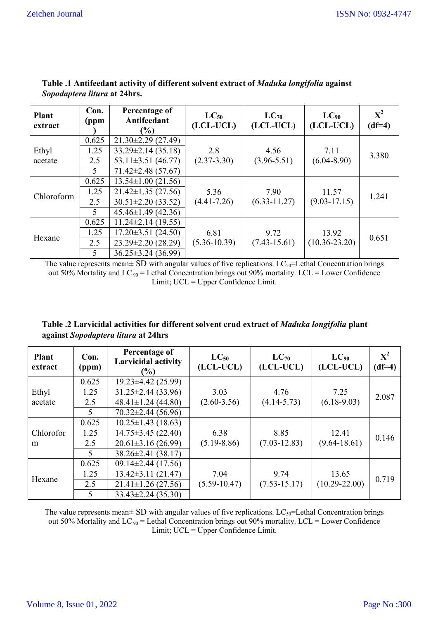| <b>Plant</b><br>extract | Con.<br>(ppm | Percentage of<br>Antifeedant<br>(%) | $LC_{50}$<br>(LCL-UCL) | $LC_{70}$<br>(LCL-UCL) | $LC_{90}$<br>(LCL-UCL) | ${\bf X}^2$<br>$(df=4)$ |
|-------------------------|--------------|-------------------------------------|------------------------|------------------------|------------------------|-------------------------|
| Ethyl<br>acetate        | 0.625        | $21.30\pm2.29$ (27.49)              |                        |                        |                        |                         |
|                         | 1.25         | $33.29 \pm 2.14$ (35.18)            | 2.8                    | 4.56                   | 7.11                   | 3.380                   |
|                         | 2.5          | 53.11 $\pm$ 3.51 (46.77)            | $(2.37 - 3.30)$        | $(3.96 - 5.51)$        | $(6.04 - 8.90)$        |                         |
|                         | 5            | $71.42 \pm 2.48$ (57.67)            |                        |                        |                        |                         |
| Chloroform              | 0.625        | $13.54 \pm 1.00$ (21.56)            |                        |                        |                        |                         |
|                         | 1.25         | $21.42 \pm 1.35$ (27.56)            | 5.36                   | 7.90                   | 11.57                  | 1.241                   |
|                         | 2.5          | $30.51 \pm 2.20$ (33.52)            | $(4.41 - 7.26)$        | $(6.33 - 11.27)$       | $(9.03 - 17.15)$       |                         |
|                         | 5            | $45.46 \pm 1.49$ (42.36)            |                        |                        |                        |                         |
| Hexane                  | 0.625        | $11.24 \pm 2.14$ (19.55)            |                        |                        |                        |                         |
|                         | 1.25         | $17.20 \pm 3.51$ (24.50)            | 6.81                   | 9.72                   | 13.92                  | 0.651                   |
|                         | 2.5          | 23.29±2.20 (28.29)                  | $(5.36 - 10.39)$       | $(7.43 - 15.61)$       | $(10.36 - 23.20)$      |                         |
|                         | 5            | $36.25 \pm 3.24$ (36.99)            |                        |                        |                        |                         |

# **Table .1 Antifeedant activity of different solvent extract of** *Maduka longifolia* **against**  *Sopodaptera litura* **at 24hrs.**

The value represents mean $\pm$  SD with angular values of five replications. LC<sub>50</sub>=Lethal Concentration brings out 50% Mortality and LC  $_{90}$  = Lethal Concentration brings out 90% mortality. LCL = Lower Confidence Limit; UCL = Upper Confidence Limit.

| Table .2 Larvicidal activities for different solvent crud extract of <i>Maduka longifolia</i> plant |  |
|-----------------------------------------------------------------------------------------------------|--|
| against Sopodaptera litura at 24hrs                                                                 |  |

| Plant<br>extract | Con.<br>(ppm)            | Percentage of<br><b>Larvicidal activity</b><br>$(\%)$ | $LC_{50}$<br>(LCL-UCL) | $LC_{70}$<br>(LCL-UCL) | $LC_{90}$<br>(LCL-UCL) | ${\bf X}^2$<br>$(df=4)$ |
|------------------|--------------------------|-------------------------------------------------------|------------------------|------------------------|------------------------|-------------------------|
|                  | 0.625                    | $19.23 \pm 4.42$ (25.99)                              |                        |                        |                        |                         |
| Ethyl            | 1.25                     | $31.25 \pm 2.44$ (33.96)                              | 3.03                   | 4.76                   | 7.25                   | 2.087                   |
| acetate          | 2.5                      | $48.41 \pm 1.24$ (44.80)                              | $(2.60-3.56)$          | $(4.14 - 5.73)$        | $(6.18-9.03)$          |                         |
|                  | 5                        | $70.32 \pm 2.44$ (56.96)                              |                        |                        |                        |                         |
|                  | 0.625                    | $10.25 \pm 1.43$ (18.63)                              |                        |                        |                        |                         |
| Chlorofor        | 1.25                     | $14.75 \pm 3.45$ (22.40)                              | 6.38                   | 8.85                   | 12.41                  | 0.146                   |
| m                | 2.5                      | $20.61 \pm 3.16$ (26.99)                              | $(5.19 - 8.86)$        | $(7.03 - 12.83)$       | $(9.64 - 18.61)$       |                         |
|                  | 5                        | $38.26 \pm 2.41$ (38.17)                              |                        |                        |                        |                         |
|                  | 0.625                    | $09.14 \pm 2.44(17.56)$                               |                        |                        |                        |                         |
|                  | 1.25                     | $13.42 \pm 3.11(21.47)$                               | 7.04                   | 9.74                   | 13.65                  | 0.719                   |
| Hexane           | 2.5                      | $21.41 \pm 1.26$ (27.56)                              | $(5.59 - 10.47)$       | $(7.53 - 15.17)$       | $(10.29 - 22.00)$      |                         |
|                  | $\overline{\mathcal{L}}$ | $33.43 \pm 2.24$ (35.30)                              |                        |                        |                        |                         |

The value represents mean $\pm$  SD with angular values of five replications. LC<sub>50</sub>=Lethal Concentration brings out 50% Mortality and LC  $_{90}$  = Lethal Concentration brings out 90% mortality. LCL = Lower Confidence Limit; UCL = Upper Confidence Limit.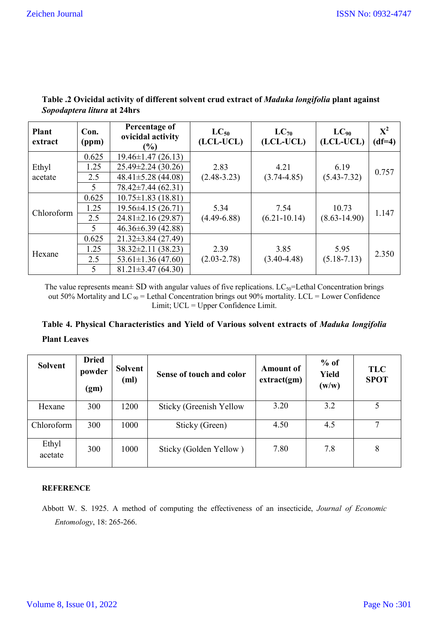| <b>Plant</b><br>extract | Con.<br>(ppm) | Percentage of<br>ovicidal activity<br>$\frac{6}{6}$ | $LC_{50}$<br>(LCL-UCL) | $LC_{70}$<br>(LCL-UCL) | $LC_{90}$<br>(LCL-UCL) | ${\bf X}^2$<br>$(df=4)$ |
|-------------------------|---------------|-----------------------------------------------------|------------------------|------------------------|------------------------|-------------------------|
|                         | 0.625         | $19.46 \pm 1.47$ (26.13)                            |                        |                        |                        |                         |
| Ethyl                   | 1.25          | $25.49 \pm 2.24$ (30.26)                            | 2.83                   | 4.21                   | 6.19                   | 0.757                   |
| acetate                 | 2.5           | $48.41 \pm 5.28$ (44.08)                            | $(2.48 - 3.23)$        | $(3.74 - 4.85)$        | $(5.43 - 7.32)$        |                         |
|                         | 5             | 78.42±7.44 (62.31)                                  |                        |                        |                        |                         |
| Chloroform              | 0.625         | $10.75 \pm 1.83$ (18.81)                            |                        |                        |                        |                         |
|                         | 1.25          | $19.56\pm4.15(26.71)$                               | 5.34                   | 7.54                   | 10.73                  | 1.147                   |
|                         | 2.5           | $24.81 \pm 2.16$ (29.87)                            | $(4.49 - 6.88)$        | $(6.21 - 10.14)$       | $(8.63 - 14.90)$       |                         |
|                         | 5             | $46.36\pm 6.39$ (42.88)                             |                        |                        |                        |                         |
| Hexane                  | 0.625         | $21.32\pm3.84(27.49)$                               |                        |                        |                        |                         |
|                         | 1.25          | $38.32 \pm 2.11$ (38.23)                            | 2.39                   | 3.85                   | 5.95                   | 2.350                   |
|                         | 2.5           | $53.61 \pm 1.36$ (47.60)                            | $(2.03 - 2.78)$        | $(3.40 - 4.48)$        | $(5.18 - 7.13)$        |                         |
|                         | 5             | $81.21 \pm 3.47(64.30)$                             |                        |                        |                        |                         |

# **Table .2 Ovicidal activity of different solvent crud extract of** *Maduka longifolia* **plant against**  *Sopodaptera litura* **at 24hrs**

The value represents mean $\pm$  SD with angular values of five replications. LC<sub>50</sub>=Lethal Concentration brings out 50% Mortality and LC  $_{90}$  = Lethal Concentration brings out 90% mortality. LCL = Lower Confidence Limit; UCL = Upper Confidence Limit.

# **Table 4. Physical Characteristics and Yield of Various solvent extracts of** *Maduka longifolia*  **Plant Leaves**

| <b>Solvent</b>   | <b>Dried</b><br>powder<br>(gm) | Solvent<br>(ml) | Sense of touch and color | <b>Amount of</b><br>extract(gm) | $%$ of<br><b>Yield</b><br>(w/w) | <b>TLC</b><br><b>SPOT</b> |
|------------------|--------------------------------|-----------------|--------------------------|---------------------------------|---------------------------------|---------------------------|
| Hexane           | 300                            | 1200            | Sticky (Greenish Yellow  | 3.20                            | 3.2                             | 5                         |
| Chloroform       | 300                            | 1000            | Sticky (Green)           | 4.50                            | 4.5                             | 7                         |
| Ethyl<br>acetate | 300                            | 1000            | Sticky (Golden Yellow)   | 7.80                            | 7.8                             | 8                         |

## **REFERENCE**

Abbott W. S. 1925. A method of computing the effectiveness of an insecticide, *Journal of Economic Entomology*, 18: 265-266.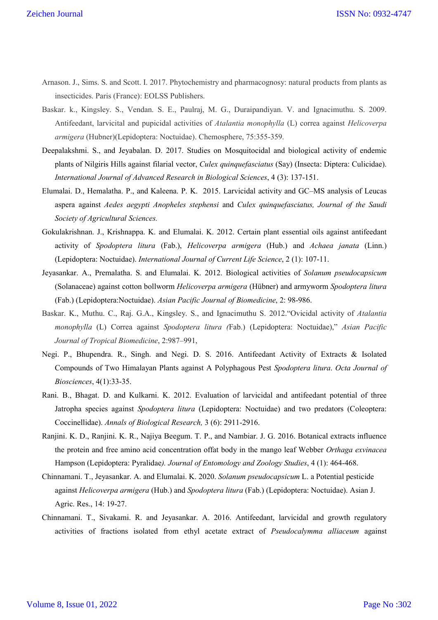- Arnason. J., Sims. S. and Scott. I. 2017. Phytochemistry and pharmacognosy: natural products from plants as insecticides. Paris (France): EOLSS Publishers.
- Baskar. k., Kingsley. S., Vendan. S. E., Paulraj, M. G., Duraipandiyan. V. and Ignacimuthu. S. 2009. Antifeedant, larvicital and pupicidal activities of *Atalantia monophylla* (L) correa against *Helicoverpa armigera* (Hubner)(Lepidoptera: Noctuidae). Chemosphere, 75:355-359.
- Deepalakshmi. S., and Jeyabalan. D. 2017. Studies on Mosquitocidal and biological activity of endemic plants of Nilgiris Hills against filarial vector, *Culex quinquefasciatus* (Say) (Insecta: Diptera: Culicidae). *International Journal of Advanced Research in Biological Sciences*, 4 (3): 137-151.
- Elumalai. D., Hemalatha. P., and Kaleena. P. K. 2015. Larvicidal activity and GC–MS analysis of Leucas aspera against *Aedes aegypti Anopheles stephensi* and *Culex quinquefasciatus, Journal of the Saudi Society of Agricultural Sciences.*
- Gokulakrishnan. J., Krishnappa. K. and Elumalai. K. 2012. Certain plant essential oils against antifeedant activity of *Spodoptera litura* (Fab.), *Helicoverpa armigera* (Hub.) and *Achaea janata* (Linn.) (Lepidoptera: Noctuidae). *International Journal of Current Life Science*, 2 (1): 107-11.
- Jeyasankar. A., Premalatha. S. and Elumalai. K. 2012. Biological activities of *Solanum pseudocapsicum* (Solanaceae) against cotton bollworm *Helicoverpa armigera* (Hübner) and armyworm *Spodoptera litura* (Fab.) (Lepidoptera:Noctuidae). *Asian Pacific Journal of Biomedicine*, 2: 98-986.
- Baskar. K., Muthu. C., Raj. G.A., Kingsley. S., and Ignacimuthu S. 2012."Ovicidal activity of *Atalantia monophylla* (L) Correa against *Spodoptera litura (*Fab.) (Lepidoptera: Noctuidae)," *Asian Pacific Journal of Tropical Biomedicine*, 2:987–991,
- Negi. P., Bhupendra. R., Singh. and Negi. D. S. 2016. Antifeedant Activity of Extracts & Isolated Compounds of Two Himalayan Plants against A Polyphagous Pest *Spodoptera litura*. *Octa Journal of Biosciences*, 4(1):33-35.
- Rani. B., Bhagat. D. and Kulkarni. K. 2012. Evaluation of larvicidal and antifeedant potential of three Jatropha species against *Spodoptera litura* (Lepidoptera: Noctuidae) and two predators (Coleoptera: Coccinellidae). *Annals of Biological Research,* 3 (6): 2911-2916.
- Ranjini. K. D., Ranjini. K. R., Najiya Beegum. T. P., and Nambiar. J. G. 2016. Botanical extracts influence the protein and free amino acid concentration offat body in the mango leaf Webber *Orthaga exvinacea* Hampson (Lepidoptera: Pyralidae*). Journal of Entomology and Zoology Studies*, 4 (1): 464-468.
- Chinnamani. T., Jeyasankar. A. and Elumalai. K. 2020. *Solanum pseudocapsicum* L. a Potential pesticide against *Helicoverpa armigera* (Hub.) and *Spodoptera litura* (Fab.) (Lepidoptera: Noctuidae). Asian J. Agric. Res., 14: 19-27.
- Chinnamani. T., Sivakami. R. and Jeyasankar. A. 2016. Antifeedant, larvicidal and growth regulatory activities of fractions isolated from ethyl acetate extract of *Pseudocalymma alliaceum* against